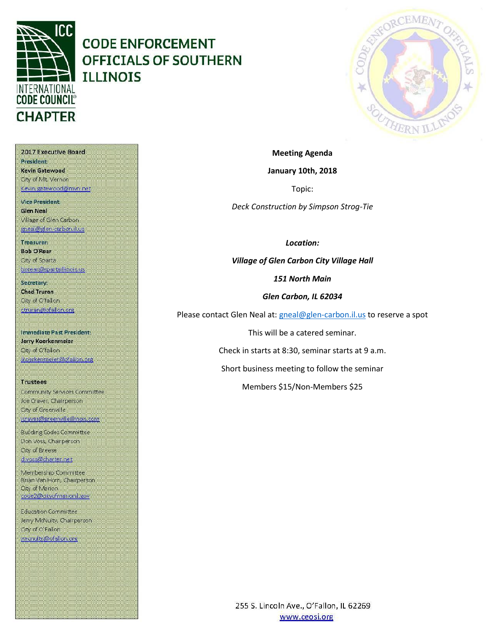

# **CODE ENFORCEMENT OFFICIALS OF SOUTHERN ILLINOIS**



2017 Executive Board **President** Kevin Gatewood **Gity of Mt. Vernon** Kevin, gatewood@mvn.net

**Vice President. Glen Neal** Village of Glen Carbon gneal@glen-carbon.il.us

Treasurer: **Bob O'Rear** Oty of Sparta borear@spartaillinois.us

Secretary: **Chad Truran** City of O'fallon. ctruran@ofallon.org

**Immediate Past President:** Jerry Koerkenmeier Oty of O'fallon (koerkenmerer@ofallon.org

**Trustees** Community Services Committee Joe Craver, Chairperson City of Greenville joraver@greenvilleillinois.com

**Building Codes Committee** Don Voss, Chairperson City of Breese d.voss@charter.net

Membership Committee Brian Van Horn, Chairperson **City of Marion** code2@dityofmarionil.gov

Education Committee Jerry McNulty, Chairperson City of O'Fallon imenulty@ofallor.org

**January 10th, 2018** Topic:

**Meeting Agenda**

*Deck Construction by Simpson Strog-Tie*

*Location:*

*Village of Glen Carbon City Village Hall*

*151 North Main*

*Glen Carbon, IL 62034*

Please contact Glen Neal at: [gneal@glen-carbon.il.us](mailto:gneal@glen-carbon.il.us) to reserve a spot

This will be a catered seminar.

Check in starts at 8:30, seminar starts at 9 a.m.

Short business meeting to follow the seminar

Members \$15/Non-Members \$25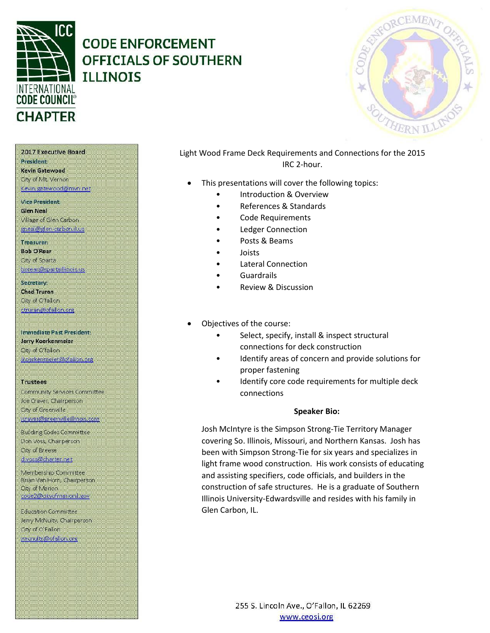

### **CODE ENFORCEMENT OFFICIALS OF SOUTHERN TLLTNOTS**



### Light Wood Frame Deck Requirements and Connections for the 2015 IRC 2-hour.

- This presentations will cover the following topics:
	- Introduction & Overview
	- References & Standards
	- Code Requirements
	- **Ledger Connection**
	- Posts & Beams
	- Joists
	- Lateral Connection
	- Guardrails
	- Review & Discussion
- Objectives of the course:
	- Select, specify, install & inspect structural connections for deck construction
	- Identify areas of concern and provide solutions for proper fastening
	- Identify core code requirements for multiple deck connections

#### **Speaker Bio:**

Josh McIntyre is the Simpson Strong-Tie Territory Manager covering So. Illinois, Missouri, and Northern Kansas. Josh has been with Simpson Strong-Tie for six years and specializes in light frame wood construction. His work consists of educating and assisting specifiers, code officials, and builders in the construction of safe structures. He is a graduate of Southern Illinois University-Edwardsville and resides with his family in Glen Carbon, IL.

#### 2017 Executive Board

#### President Kevin Gatewood

#### City of Mt. Vernon Kevin, gatewood@mvn.net

**Vice President. Glen Neal** Village of Glen Carbon gneal@glen-carbon.il.us

#### Treasurer:

**Bob O'Rear** Oty of Sparta borear@spartaillinois.us

#### Secretary: **Chad Truran** City of O'fallon.

ctruran@ofallon.org

### **Immediate Past President:**

Jerry Koerkenmeier Oty of O'fallon (koerkenmerer@ofallon.org

#### **Trustees**

Community Services Committee Joe Craver, Chairperson City of Greenville joraver@greenvilleillinois.com

#### **Building Codes Committee** Don Voss, Chairperson. City of Breese d.voss@charter.net

Membership Committee Brian Van Horn, Chairperson **Qty of Marion** code2@dityofmarionil.gov

Education Committee Jerry McNulty, Chairperson City of O'Fallon imenuity@ofallor.org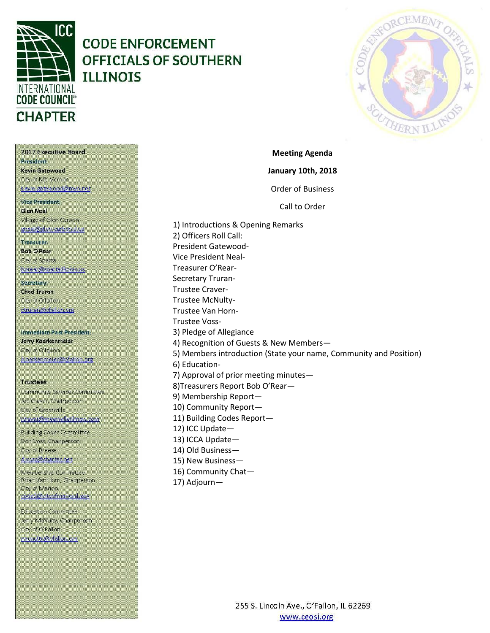

## **CODE ENFORCEMENT OFFICIALS OF SOUTHERN ILLINOIS**



2017 Executive Board **President** Kevin Gatewood City of Mt. Vernon Kevin, gatewood@mvn.net **Vice President. Glen Neal** Village of Glen Carbon gneal@glen-carbon.il.uc

Treasurer:

**Bob O'Rear** Oty of Sparta borear@spartaillinois.us

Secretary: **Chad Truran** City of O'fallon. ctruran@ofallon.org

**Immediate Past President:** Jerry Koerkenmeier Oty of O'fallon (koerkenmerer@ofallon.org

**Trustees** 

Community Services Committee Joe Craver, Chairperson City of Greenville joraver@greenvilleillinois.com

**Building Codes Committee** Don Voss, Chairperson. City of Breese d.voss@charter.net

Membership Committee Brian Van Horn, Chairperson **City of Marion** code2@dityofmarionil.gov

Education Committee Jerry McNulty, Chairperson City of O'Fallon imenulty@ofallor.org

**Meeting Agenda January 10th, 2018** Order of Business Call to Order 1) Introductions & Opening Remarks

Secretary Truran-Trustee Craver-Trustee McNulty-Trustee Van Horn-Trustee Voss-3) Pledge of Allegiance 4) Recognition of Guests & New Members— 5) Members introduction (State your name, Community and Position) 6) Education-7) Approval of prior meeting minutes— 8)Treasurers Report Bob O'Rear— 9) Membership Report— 10) Community Report— 11) Building Codes Report— 12) ICC Update—

13) ICCA Update—

2) Officers Roll Call: President Gatewood-Vice President Neal-Treasurer O'Rear-

- 14) Old Business—
- 15) New Business—
- 16) Community Chat—
- 17) Adjourn—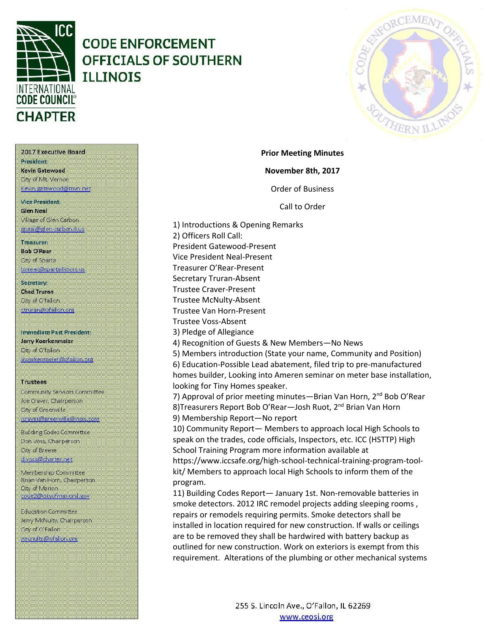

## **CODE ENFORCEMENT** OFFICIALS OF SOUTHERN **TLLTNOTS**



2017 Executive Board President

Kevin Gatewood City of Mt. Vernon Kevin gatewood@mvn.net

**Vice President. Glen Neal** Village of Glen Carbon gneal@glen-carbon.il.us

#### Treasurer:

**Bob O'Rear** Oty of Sparta borear@spartaillinois.us

Secretary: **Chad Truran** City of O'fallon ctruran@ofallon.org

**Immediate Past President:** Jerry Koerkenmeier Oty of O'fallon (koerkenmerer@ofallon.org

#### **Trustees**

Community Services Committee Joe Craver, Chairperson City of Greenville joraver@greenvilleillinois.com

**Building Codes Committee** Don Voss, Chairperson. City of Breese d.voss@charter.net

Membership Committee Brian Van Horn, Chairperson **City of Marion** code2@cityofmarionil.gov

Education Committee Jerry McNulty, Chairperson City of O'Fallon imenuity@ofallor.org

November 8th, 2017 **Order of Business** Call to Order

**Prior Meeting Minutes** 

1) Introductions & Opening Remarks 2) Officers Roll Call: President Gatewood-Present Vice President Neal-Present Treasurer O'Rear-Present Secretary Truran-Absent **Trustee Craver-Present Trustee McNulty-Absent Trustee Van Horn-Present Trustee Voss-Absent** 3) Pledge of Allegiance 4) Recognition of Guests & New Members-No News 5) Members introduction (State your name, Community and Position) 6) Education-Possible Lead abatement, filed trip to pre-manufactured homes builder, Looking into Ameren seminar on meter base installation, looking for Tiny Homes speaker. 7) Approval of prior meeting minutes—Brian Van Horn, 2<sup>nd</sup> Bob O'Rear 8) Treasurers Report Bob O'Rear-Josh Ruot, 2<sup>nd</sup> Brian Van Horn 9) Membership Report-No report 10) Community Report- Members to approach local High Schools to speak on the trades, code officials, Inspectors, etc. ICC (HSTTP) High School Training Program more information available at https://www.iccsafe.org/high-school-technical-training-program-toolkit/ Members to approach local High Schools to inform them of the program. 11) Building Codes Report- January 1st. Non-removable batteries in

smoke detectors. 2012 IRC remodel projects adding sleeping rooms, repairs or remodels requiring permits. Smoke detectors shall be installed in location required for new construction. If walls or ceilings are to be removed they shall be hardwired with battery backup as outlined for new construction. Work on exteriors is exempt from this requirement. Alterations of the plumbing or other mechanical systems